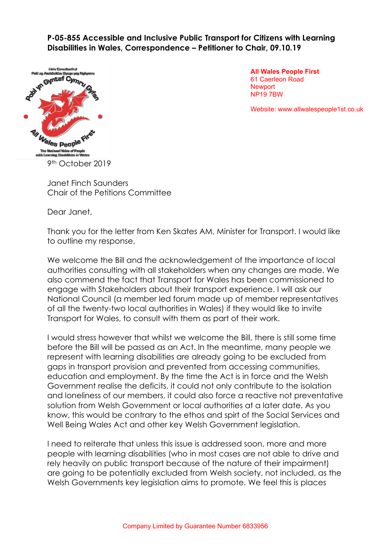**P-05-855 Accessible and Inclusive Public Transport for Citizens with Learning Disabilities in Wales, Correspondence – Petitioner to Chair, 09.10.19**



**All Wales People First** 61 Caerleon Road **Newport** NP19 7BW

Website: www.allwalespeople1st.co.uk

Janet Finch Saunders Chair of the Petitions Committee

Dear Janet,

Thank you for the letter from Ken Skates AM, Minister for Transport. I would like to outline my response.

We welcome the Bill and the acknowledgement of the importance of local authorities consulting with all stakeholders when any changes are made. We also commend the fact that Transport for Wales has been commissioned to engage with Stakeholders about their transport experience. I will ask our National Council (a member led forum made up of member representatives of all the twenty-two local authorities in Wales) if they would like to invite Transport for Wales, to consult with them as part of their work.

I would stress however that whilst we welcome the Bill, there is still some time before the Bill will be passed as an Act. In the meantime, many people we represent with learning disabilities are already going to be excluded from gaps in transport provision and prevented from accessing communities, education and employment. By the time the Act is in force and the Welsh Government realise the deficits, it could not only contribute to the isolation and loneliness of our members, it could also force a reactive not preventative solution from Welsh Government or local authorities at a later date. As you know, this would be contrary to the ethos and spirt of the Social Services and Well Being Wales Act and other key Welsh Government legislation.

I need to reiterate that unless this issue is addressed soon, more and more people with learning disabilities (who in most cases are not able to drive and rely heavily on public transport because of the nature of their impairment) are going to be potentially excluded from Welsh society, not included, as the Welsh Governments key legislation aims to promote. We feel this is places